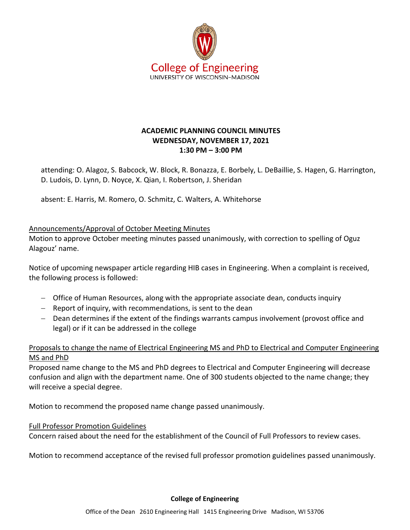

# **ACADEMIC PLANNING COUNCIL MINUTES WEDNESDAY, NOVEMBER 17, 2021 1:30 PM – 3:00 PM**

attending: O. Alagoz, S. Babcock, W. Block, R. Bonazza, E. Borbely, L. DeBaillie, S. Hagen, G. Harrington, D. Ludois, D. Lynn, D. Noyce, X. Qian, I. Robertson, J. Sheridan

absent: E. Harris, M. Romero, O. Schmitz, C. Walters, A. Whitehorse

## Announcements/Approval of October Meeting Minutes

Motion to approve October meeting minutes passed unanimously, with correction to spelling of Oguz Alagouz' name.

Notice of upcoming newspaper article regarding HIB cases in Engineering. When a complaint is received, the following process is followed:

- − Office of Human Resources, along with the appropriate associate dean, conducts inquiry
- − Report of inquiry, with recommendations, is sent to the dean
- − Dean determines if the extent of the findings warrants campus involvement (provost office and legal) or if it can be addressed in the college

# Proposals to change the name of Electrical Engineering MS and PhD to Electrical and Computer Engineering MS and PhD

Proposed name change to the MS and PhD degrees to Electrical and Computer Engineering will decrease confusion and align with the department name. One of 300 students objected to the name change; they will receive a special degree.

Motion to recommend the proposed name change passed unanimously.

### Full Professor Promotion Guidelines

Concern raised about the need for the establishment of the Council of Full Professors to review cases.

Motion to recommend acceptance of the revised full professor promotion guidelines passed unanimously.

#### **College of Engineering**